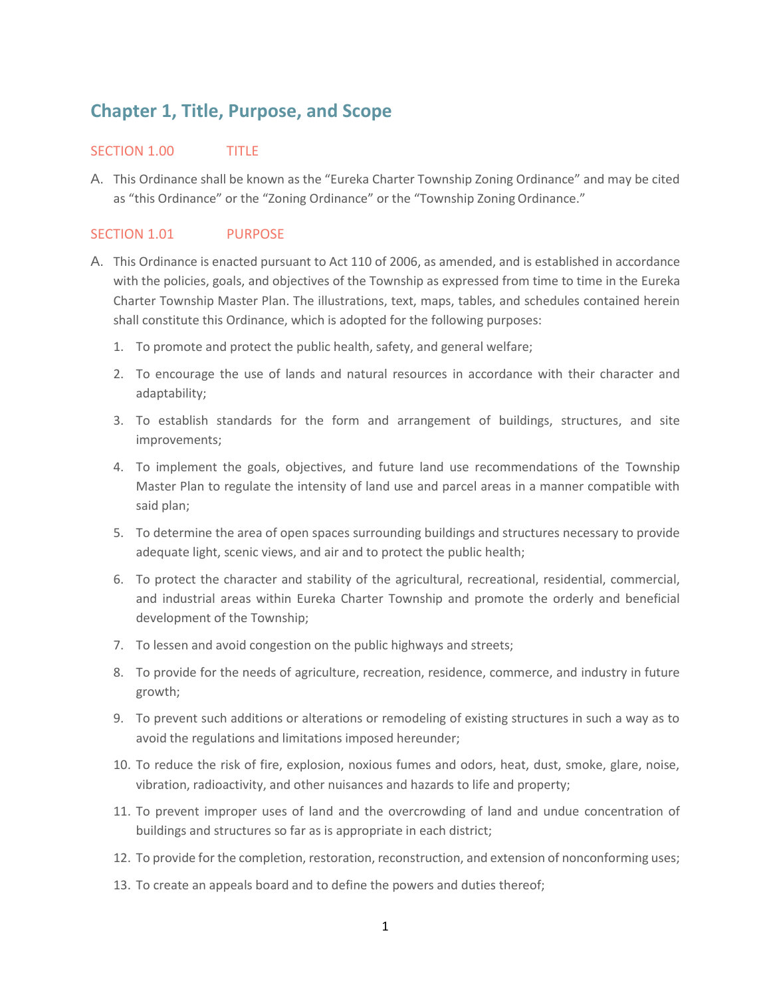## **Chapter 1, Title, Purpose, and Scope**

## SECTION 1.00 TITLE

A. This Ordinance shall be known as the "Eureka Charter Township Zoning Ordinance" and may be cited as "this Ordinance" or the "Zoning Ordinance" or the "Township Zoning Ordinance."

## SECTION 1.01 PURPOSE

- A. This Ordinance is enacted pursuant to Act 110 of 2006, as amended, and is established in accordance with the policies, goals, and objectives of the Township as expressed from time to time in the Eureka Charter Township Master Plan. The illustrations, text, maps, tables, and schedules contained herein shall constitute this Ordinance, which is adopted for the following purposes:
	- 1. To promote and protect the public health, safety, and general welfare;
	- 2. To encourage the use of lands and natural resources in accordance with their character and adaptability;
	- 3. To establish standards for the form and arrangement of buildings, structures, and site improvements;
	- 4. To implement the goals, objectives, and future land use recommendations of the Township Master Plan to regulate the intensity of land use and parcel areas in a manner compatible with said plan;
	- 5. To determine the area of open spaces surrounding buildings and structures necessary to provide adequate light, scenic views, and air and to protect the public health;
	- 6. To protect the character and stability of the agricultural, recreational, residential, commercial, and industrial areas within Eureka Charter Township and promote the orderly and beneficial development of the Township;
	- 7. To lessen and avoid congestion on the public highways and streets;
	- 8. To provide for the needs of agriculture, recreation, residence, commerce, and industry in future growth;
	- 9. To prevent such additions or alterations or remodeling of existing structures in such a way as to avoid the regulations and limitations imposed hereunder;
	- 10. To reduce the risk of fire, explosion, noxious fumes and odors, heat, dust, smoke, glare, noise, vibration, radioactivity, and other nuisances and hazards to life and property;
	- 11. To prevent improper uses of land and the overcrowding of land and undue concentration of buildings and structures so far as is appropriate in each district;
	- 12. To provide for the completion, restoration, reconstruction, and extension of nonconforming uses;
	- 13. To create an appeals board and to define the powers and duties thereof;